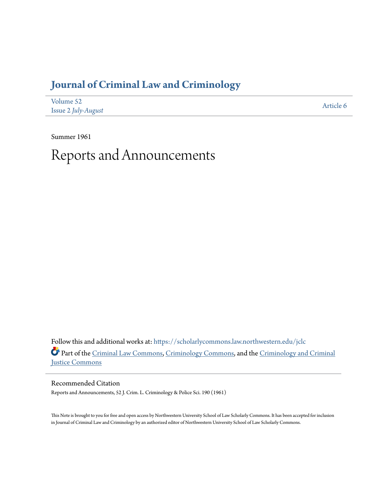# **[Journal of Criminal Law and Criminology](https://scholarlycommons.law.northwestern.edu/jclc?utm_source=scholarlycommons.law.northwestern.edu%2Fjclc%2Fvol52%2Fiss2%2F6&utm_medium=PDF&utm_campaign=PDFCoverPages)**

| Volume 52           | Article 6 |
|---------------------|-----------|
| Issue 2 July-August |           |

Summer 1961

# Reports and Announcements

Follow this and additional works at: [https://scholarlycommons.law.northwestern.edu/jclc](https://scholarlycommons.law.northwestern.edu/jclc?utm_source=scholarlycommons.law.northwestern.edu%2Fjclc%2Fvol52%2Fiss2%2F6&utm_medium=PDF&utm_campaign=PDFCoverPages) Part of the [Criminal Law Commons](http://network.bepress.com/hgg/discipline/912?utm_source=scholarlycommons.law.northwestern.edu%2Fjclc%2Fvol52%2Fiss2%2F6&utm_medium=PDF&utm_campaign=PDFCoverPages), [Criminology Commons](http://network.bepress.com/hgg/discipline/417?utm_source=scholarlycommons.law.northwestern.edu%2Fjclc%2Fvol52%2Fiss2%2F6&utm_medium=PDF&utm_campaign=PDFCoverPages), and the [Criminology and Criminal](http://network.bepress.com/hgg/discipline/367?utm_source=scholarlycommons.law.northwestern.edu%2Fjclc%2Fvol52%2Fiss2%2F6&utm_medium=PDF&utm_campaign=PDFCoverPages) [Justice Commons](http://network.bepress.com/hgg/discipline/367?utm_source=scholarlycommons.law.northwestern.edu%2Fjclc%2Fvol52%2Fiss2%2F6&utm_medium=PDF&utm_campaign=PDFCoverPages)

Recommended Citation

Reports and Announcements, 52 J. Crim. L. Criminology & Police Sci. 190 (1961)

This Note is brought to you for free and open access by Northwestern University School of Law Scholarly Commons. It has been accepted for inclusion in Journal of Criminal Law and Criminology by an authorized editor of Northwestern University School of Law Scholarly Commons.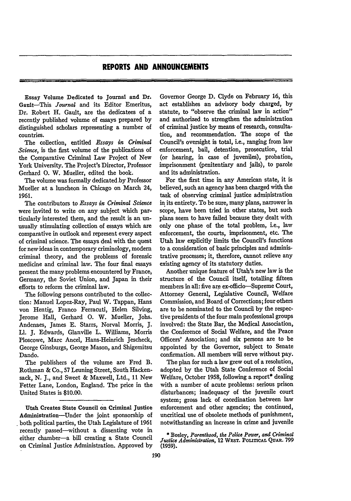## **REPORTS AND ANNOUNCEMENTS**

**m**

Essay Volume Dedicated to Journal and Dr. Gault-This *Journal* and its Editor Emeritus, Dr. Robert H. Gault, are the dedicatees of a recently published volume of essays prepared **by** distinguished scholars representing a number of countries.

The collection, entitled *Essays in Criminal Science,* is the first volume of the publications of the Comparative Criminal Law Project of New York University. The Project's Director, Professor Gerhard **0.** W. Mueller, edited the book.

The volume was formally dedicated by Professor Mueller at a luncheon in Chicago on March 24, **1961.**

The contributors to *Essays in Criminal Science* were invited to write on any subject which particularly interested them, and the result is an unusually stimulating collection of essays which are comparative in outlook and represent every aspect of criminal science. The essays deal with the quest for new ideas in contemporary criminology, modem criminal theory, and the problems of forensic medicine and criminal law. The four final essays present the many problems encountered by France, Germany, the Soviet Union, and Japan in their efforts to reform the criminal law.

The following persons contributed to the collection: Manuel Lopez-Ray, Paul W. Tappan, Hans von Hentig, Franco Ferracuti, Helen Silving, Jerome Hall, Gerhard **0.** W. Mueller, Jobs. Andenaes, James E. Starrs, Norval Morris, J. Ll. J. Edwards, Glanville L. Williams, Morris Ploscowe, Marc Ancel, Hans-Heinrich Jescheck, George Ginsburgs, George Mason, and Shigemitsu Dando.

The publishers of the volume are Fred B. Rothman & Co., **57** Leuning Street, South Hackensack, **N. J.,** and Sweet & Maxwell, Ltd., **11** New Fetter Lane, London, England. The price in the United States is \$10.00.

**Utah Creates State Council on Criminal Justice** Administration-Under the joint sponsorship of both political parties, the Utah Legislature of **1961** recently passed-without a dissenting vote in either chamber-a bill creating a State Council on Criminal Justice Administration. Approved by

Governor George **D.** Clyde on February **16,** this act establishes an advisory body charged, by statute, to "observe the criminal law in action" and authorized to strengthen the administration of criminal justice **by** means of research, consultation, and recommendation. **The** scope of the Council's oversight is total, i.e., ranging from law enforcement, bail, detention, prosecution, trial (or hearing, in case of juveniles), probation, imprisonment (penitentiary and jails), to parole and its administration.

, **.** -

For the first time in any American state, it is believed, such an agency has been charged with the task of observing criminal justice administration in its entirety. To be sure, many plans, narrower in scope, have been tried in other states, but such plans seem to have failed because they dealt with only one phase of the total problem, i.e., law enforcement, the courts, imprisonment, etc. The Utah law explicitly limits the Council's functions to a consideration of basic principles and administrative processes; it, therefore, cannot relieve any existing agency of its statutory duties.

Another unique feature of Utah's new law is the structure of the Council itself, totalling fifteen members in all: five **are** ex-officio-Supreme Court, Attorney General, Legislative Council, Welfare Commission, and Board of Corrections; four others are to be nominated to the Council **by** the respective presidents of the four main professional groups involved: the State Bar, the Medical Association, the Conference of Social Welfare, and the Peace Officers' Association; and six persons are to be appointed **by** the Governor, subject to Senate confirmation. **All** members **will** serve without pay.

The plan for such a law grew out of a resolution, adopted **by** the Utah State Conference of Social Welfare, October **1958,** following a report\* dealing with a number of acute problems: serious prison disturbances; inadequacy of the juvenile court system; gross lack of coordination between law enforcement and other agencies; the continued, uncritical use of obsolete methods of punishment, notwithstanding an increase in crime and juvenile

**\*** Beeley, *Parenthood, the Police Power, and Criminal Justice Administration,* **12** W.ST. **POLITICAL QUAR. 799 (1959).**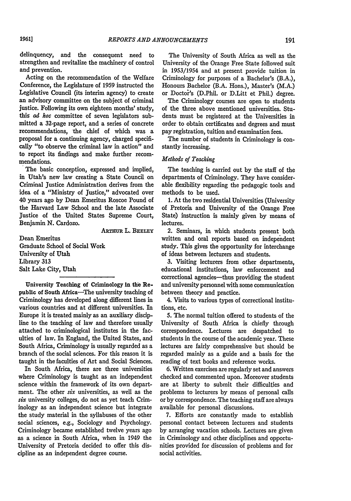delinquency, and the consequent need to strengthen and revitalize the machinery of control and prevention.

Acting on the recommendation of the Welfare Conference, the Legislature of 1959 instructed the Legislative Council (its interim agency) to create an advisory committee on the subject of criminal justice. Following its own eighteen months' study, this *ad hoc* committee of seven legislators submitted a 32-page report, and a series of concrete recommendations, the chief of which was a proposal for a continuing agency, charged specifically "to observe the criminal law in action" and to report its findings and make further recommendations.

The basic conception, expressed and- implied, in Utah's new law creating a State Council on Criminal Justice Administration derives from the idea of a "Ministry of Justice," advocated over 40 years ago **by** Dean Emeritus Roscoe Pound of the Harvard Law School and the late Associate Justice of the United States Supreme Court, Benjamin N. Cardozo.

ARTnuR L. **BEELEY**

Dean Emeritus Graduate School of Social Work University of Utah Library 313 Salt Lake City, Utah

University Teaching of Criminology In the Republic of South Africa-The university teaching of Criminology has developed along different lines in various countries and at different universities. In Europe it is treated mainly as an auxiliary discipline to the teaching of law and therefore usually attached to criminological institutes in the faculties of law. In England, the United States, and South Africa, Criminology is usually regarded as a branch of the social sciences. For this reason it is taught in the faculties of Art and. Social Sciences.

In South Africa, there are three universities where Criminology is taught as an independent science within the framework of its own department. The other *six* universities, as well as the *six* university colleges, do not as yet teach Criminology as an independent science but integrate the study material in the syllabuses of the other social sciences, e.g., Sociology and Psychology. Criminology became established twelve years ago as a science in South Africa, when in 1949 the University of Pretoria decided to offer this discipline as an independent degree course.

The University of South Africa as well as the University of the Orange Free State followed suit in 1953/1954 and at present provide tuition in Criminology for purposes of a Bachelor's (B.A.), Honours Bachelor (B.A. Hons.), Master's (M.A.) or Doctor's (D.Phil. or D.Litt et Phil.) degree.

The Criminology courses are open to students of the three above mentioned universities. Students must be registered at the Universities in order to obtain certificates and degrees and must pay registration, tuition and examination fees.

The number of students in Criminology is constantly increasing.

### *Methods of Teaching*

The teaching is carried out by the staff of the departments of Criminology. They have considerable flexibility regarding the pedagogic tools and methods to be used.

1. At the two residential Universities (University of Pretoria and University of the Orange Free State) instruction is mainly given by means of lectures.

2. Seminars, in which students present both written and oral reports based on independent study. This gives the opportunity for interchange of ideas between lecturers and students.

**3.** Visiting lecturers from other departments, educational institutions, law enforcement and correctional agencies-thus providing the student and university personnel with some communication between theory and practice.

4. Visits to various types of correctional institutions, etc.

5. The normal tuition offered to students of the University of South Africa is chiefly through correspondence. Lectures are despatched to students in the course of the academic year. These lectures are fairly comprehensive but should be regarded mainly as a guide and a basis for the reading of text books and reference works.

6. Written exercises are regularly set and answers checked and commented upon. Moreover students are at liberty to submit their difficulties and problems to lecturers by means of personal calls or by correspondence. The teaching staff are always available for personal discussions.

7. Efforts are constantly made to establish personal contact between lecturers and students by arranging vacation schools. Lectures are given in Criminology and other disciplines and opportunities provided for discussion of problems and for social activities.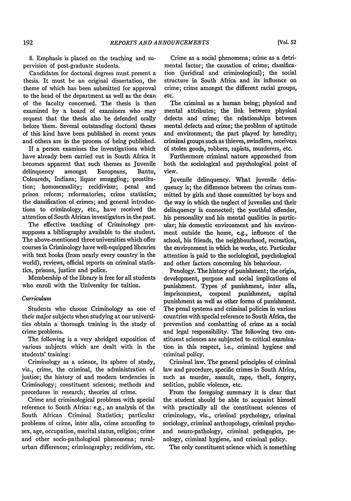8. Emphasis is placed on the teaching and supervision of post-graduate students.

Candidates for doctoral degrees must present a thesis. It must be an original dissertation, the theme of which has been submitted for approval to the head of the department as well as the dean of the faculty concerned. The thesis is then examined by a board of examiners who may request that the thesis also be defended orally before them. Several outstanding doctoral theses of this kind have been published in recent years and others are in the process of being published.

If a person examines the investigations which have already been carried out in South Africa it becomes apparent that such themes as Juvenile delinquency amongst Europeans, Bantu, Coloureds, Indians; liquor smuggling; prostitution; homosexuality; recidivism; penal and prison reform; reformatories; crime statistics; the classification of crimes; and general introductions to criminology, etc., have received the attention of South African investigators in the past.

The effective teaching of Criminology presupposes a bibliography available to the student. The above-mentioned three universities which offer courses in Criminology have well-equipped libraries with text books (from nearly every country in the world), reviews, official reports on criminal statistics, prisons, justice and police.

Membership of the library is free for all students who enroll with the University for tuition.

#### *Curriculum*

Students who choose Criminology as one of their major subjects when studying at our universities obtain a thorough training in the study of crime problems.

The following is a very abridged exposition of various subjects which are dealt with in the students' training:

Criminology as a science, its sphere of study, viz., crime, the criminal, the administration of justice; the history of and modern tendencies in Criminology; constituent sciences; methods and procedures in research; theories of crime.

Crime and criminological problems with special reference to South Africa: e.g., an analysis of the South African Criminal Statistics; particular problems of crime, inter alia, crime according to sex, age, occupation, marital status, religion; crime and other socio-pathological phenomena; ruralurban differences; criminography; recidivism, etc.

Crime as a social phenomena; crime as a detrimental factor; the causation of crime; classification (juridical and criminological); the social structure in South Africa and its influence on crime; crime amongst the different racial groups, etc.

The criminal as a human being; physical and mental attributes; the link between physical defects and crime; the relationships between mental defects and crime; the problem of aptitude and environment; the part played by heredity; criminal groups such as thieves, swindlers, receivers of stolen goods, robbers, rapists, murderers, etc.

Furthermore criminal nature approached from both the sociological and psychological point of view.

juvenile delinquency. What juvenile delinquency is; the difference between the crimes committed by girls and those committed by boys and the way in which the neglect of juveniles and their delinquency is connected; the youthful offender, his personality and his mental qualities in particular; his domestic environment and his environment outside the home, e.g., influence of the school, his friends, the neighbourhood, recreation, the environment in which he works, etc. Particular attention is paid to the sociological, psychological and other factors concerning his behaviour.

Penology. The history of punishment; the origin, development, purpose and social implications of punishment. Types of punishment, inter alia, imprisonment, corporal punishment, capital punishment as well as other forms of punishment. The penal systems and criminal policies in various countries with special reference to South Africa, the prevention and combatting of crime as a social and legal responsibility. The following two constituent sciences are subjected to critical examination in this respect, i.e., criminal hygiene and criminal policy.

Criminal law. The general principles of criminal law and procedure, specific crimes in South Africa, such as murder, assault, rape, theft, forgery, sedition, public violence, etc.

From the foregoing summary it is clear that the student should be able to acquaint himself with practically all the constituent sciences of criminology, viz., criminal psychology, criminal sociology, criminal anthropology, criminal psychoand neuro-pathology, criminal pedagogics, penology, criminal hygiene, and criminal policy.

The only constituent science which is something